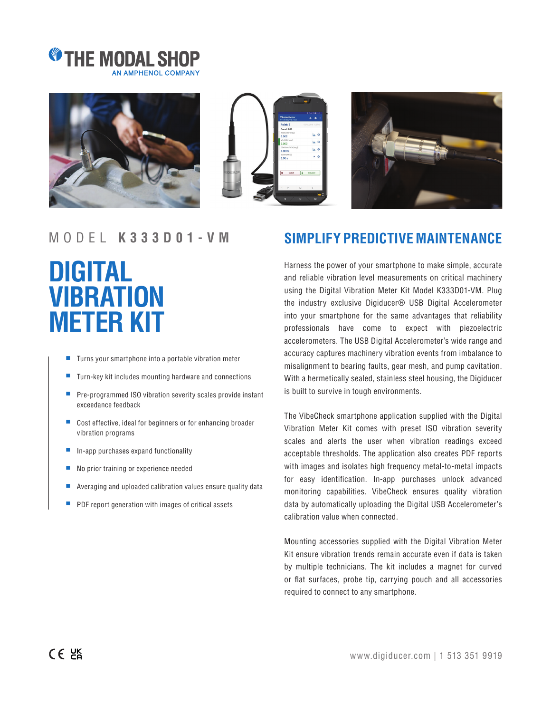







## **DIGITAL VIBRATION METER KIT**

- Turns your smartphone into a portable vibration meter
- Turn-key kit includes mounting hardware and connections
- Pre-programmed ISO vibration severity scales provide instant exceedance feedback
- Cost effective, ideal for beginners or for enhancing broader vibration programs
- In-app purchases expand functionality
- No prior training or experience needed
- Averaging and uploaded calibration values ensure quality data
- PDF report generation with images of critical assets

## MODEL **K333D01-VM SIMPLIFY PREDICTIVE MAINTENANCE**

Harness the power of your smartphone to make simple, accurate and reliable vibration level measurements on critical machinery using the Digital Vibration Meter Kit Model K333D01-VM. Plug the industry exclusive Digiducer® USB Digital Accelerometer into your smartphone for the same advantages that reliability professionals have come to expect with piezoelectric accelerometers. The USB Digital Accelerometer's wide range and accuracy captures machinery vibration events from imbalance to misalignment to bearing faults, gear mesh, and pump cavitation. With a hermetically sealed, stainless steel housing, the Digiducer is built to survive in tough environments.

The VibeCheck smartphone application supplied with the Digital Vibration Meter Kit comes with preset ISO vibration severity scales and alerts the user when vibration readings exceed acceptable thresholds. The application also creates PDF reports with images and isolates high frequency metal-to-metal impacts for easy identification. In-app purchases unlock advanced monitoring capabilities. VibeCheck ensures quality vibration data by automatically uploading the Digital USB Accelerometer's calibration value when connected.

Mounting accessories supplied with the Digital Vibration Meter Kit ensure vibration trends remain accurate even if data is taken by multiple technicians. The kit includes a magnet for curved or flat surfaces, probe tip, carrying pouch and all accessories required to connect to any smartphone.